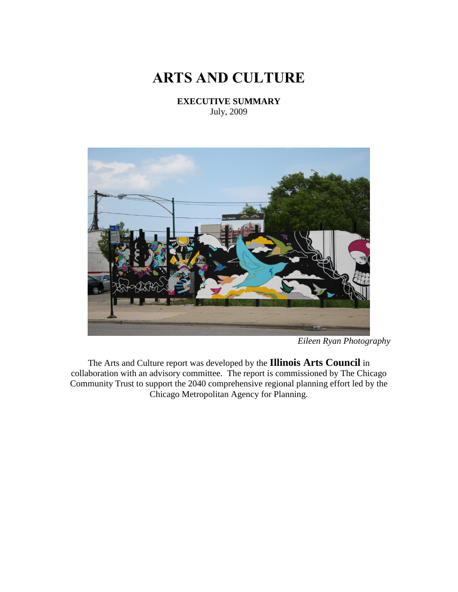# **ARTS AND CULTURE**

**EXECUTIVE SUMMARY** July, 2009



*Eileen Ryan Photography*

The Arts and Culture report was developed by the **Illinois Arts Council** in collaboration with an advisory committee. The report is commissioned by The Chicago Community Trust to support the 2040 comprehensive regional planning effort led by the Chicago Metropolitan Agency for Planning.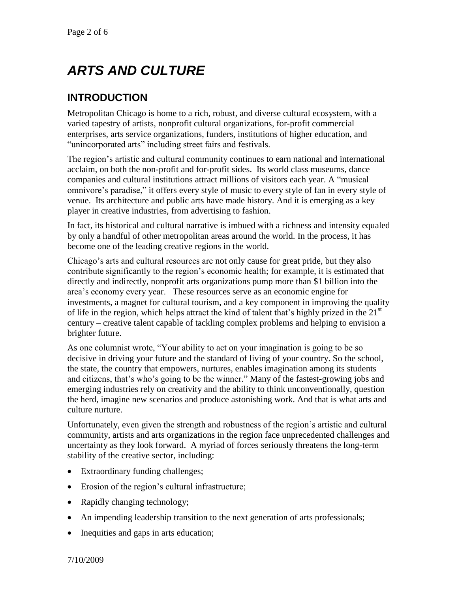# *ARTS AND CULTURE*

## **INTRODUCTION**

Metropolitan Chicago is home to a rich, robust, and diverse cultural ecosystem, with a varied tapestry of artists, nonprofit cultural organizations, for-profit commercial enterprises, arts service organizations, funders, institutions of higher education, and "unincorporated arts" including street fairs and festivals.

The region's artistic and cultural community continues to earn national and international acclaim, on both the non-profit and for-profit sides. Its world class museums, dance companies and cultural institutions attract millions of visitors each year. A "musical omnivore's paradise," it offers every style of music to every style of fan in every style of venue. Its architecture and public arts have made history. And it is emerging as a key player in creative industries, from advertising to fashion.

In fact, its historical and cultural narrative is imbued with a richness and intensity equaled by only a handful of other metropolitan areas around the world. In the process, it has become one of the leading creative regions in the world.

Chicago's arts and cultural resources are not only cause for great pride, but they also contribute significantly to the region's economic health; for example, it is estimated that directly and indirectly, nonprofit arts organizations pump more than \$1 billion into the area's economy every year. These resources serve as an economic engine for investments, a magnet for cultural tourism, and a key component in improving the quality of life in the region, which helps attract the kind of talent that's highly prized in the  $21<sup>st</sup>$ century – creative talent capable of tackling complex problems and helping to envision a brighter future.

As one columnist wrote, "Your ability to act on your imagination is going to be so decisive in driving your future and the standard of living of your country. So the school, the state, the country that empowers, nurtures, enables imagination among its students and citizens, that's who's going to be the winner." Many of the fastest-growing jobs and emerging industries rely on creativity and the ability to think unconventionally, question the herd, imagine new scenarios and produce astonishing work. And that is what arts and culture nurture.

Unfortunately, even given the strength and robustness of the region's artistic and cultural community, artists and arts organizations in the region face unprecedented challenges and uncertainty as they look forward. A myriad of forces seriously threatens the long-term stability of the creative sector, including:

- Extraordinary funding challenges;
- Erosion of the region's cultural infrastructure;
- Rapidly changing technology;
- An impending leadership transition to the next generation of arts professionals;
- Inequities and gaps in arts education;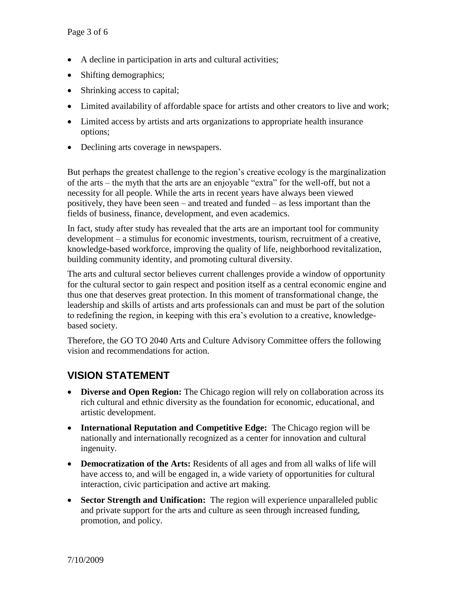- A decline in participation in arts and cultural activities;
- Shifting demographics;
- Shrinking access to capital;
- Limited availability of affordable space for artists and other creators to live and work;
- Limited access by artists and arts organizations to appropriate health insurance options;
- Declining arts coverage in newspapers.

But perhaps the greatest challenge to the region's creative ecology is the marginalization of the arts – the myth that the arts are an enjoyable "extra" for the well-off, but not a necessity for all people. While the arts in recent years have always been viewed positively, they have been seen – and treated and funded – as less important than the fields of business, finance, development, and even academics.

In fact, study after study has revealed that the arts are an important tool for community development – a stimulus for economic investments, tourism, recruitment of a creative, knowledge-based workforce, improving the quality of life, neighborhood revitalization, building community identity, and promoting cultural diversity.

The arts and cultural sector believes current challenges provide a window of opportunity for the cultural sector to gain respect and position itself as a central economic engine and thus one that deserves great protection. In this moment of transformational change, the leadership and skills of artists and arts professionals can and must be part of the solution to redefining the region, in keeping with this era's evolution to a creative, knowledgebased society.

Therefore, the GO TO 2040 Arts and Culture Advisory Committee offers the following vision and recommendations for action.

## **VISION STATEMENT**

- **Diverse and Open Region:** The Chicago region will rely on collaboration across its rich cultural and ethnic diversity as the foundation for economic, educational, and artistic development.
- **International Reputation and Competitive Edge:** The Chicago region will be nationally and internationally recognized as a center for innovation and cultural ingenuity.
- **Democratization of the Arts:** Residents of all ages and from all walks of life will have access to, and will be engaged in, a wide variety of opportunities for cultural interaction, civic participation and active art making.
- **Sector Strength and Unification:** The region will experience unparalleled public and private support for the arts and culture as seen through increased funding, promotion, and policy.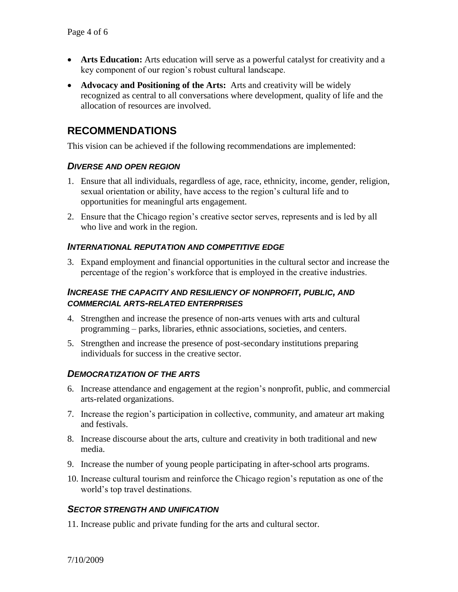- **Arts Education:** Arts education will serve as a powerful catalyst for creativity and a key component of our region's robust cultural landscape.
- **Advocacy and Positioning of the Arts:** Arts and creativity will be widely recognized as central to all conversations where development, quality of life and the allocation of resources are involved.

### **RECOMMENDATIONS**

This vision can be achieved if the following recommendations are implemented:

#### *DIVERSE AND OPEN REGION*

- 1. Ensure that all individuals, regardless of age, race, ethnicity, income, gender, religion, sexual orientation or ability, have access to the region's cultural life and to opportunities for meaningful arts engagement.
- 2. Ensure that the Chicago region's creative sector serves, represents and is led by all who live and work in the region.

#### *INTERNATIONAL REPUTATION AND COMPETITIVE EDGE*

3. Expand employment and financial opportunities in the cultural sector and increase the percentage of the region's workforce that is employed in the creative industries.

#### *INCREASE THE CAPACITY AND RESILIENCY OF NONPROFIT, PUBLIC, AND COMMERCIAL ARTS-RELATED ENTERPRISES*

- 4. Strengthen and increase the presence of non-arts venues with arts and cultural programming – parks, libraries, ethnic associations, societies, and centers.
- 5. Strengthen and increase the presence of post-secondary institutions preparing individuals for success in the creative sector.

#### *DEMOCRATIZATION OF THE ARTS*

- 6. Increase attendance and engagement at the region's nonprofit, public, and commercial arts-related organizations.
- 7. Increase the region's participation in collective, community, and amateur art making and festivals.
- 8. Increase discourse about the arts, culture and creativity in both traditional and new media.
- 9. Increase the number of young people participating in after-school arts programs.
- 10. Increase cultural tourism and reinforce the Chicago region's reputation as one of the world's top travel destinations.

#### *SECTOR STRENGTH AND UNIFICATION*

11. Increase public and private funding for the arts and cultural sector.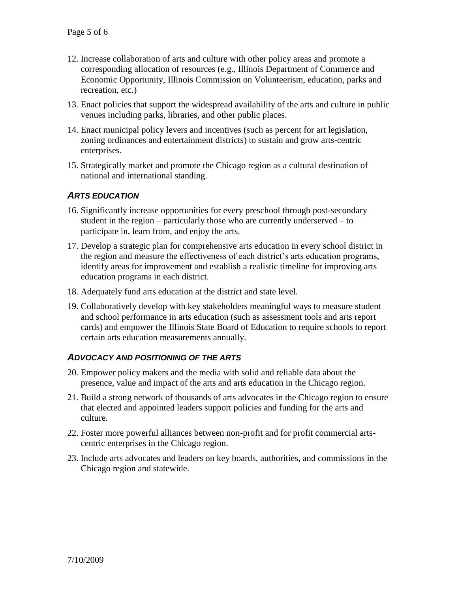- 12. Increase collaboration of arts and culture with other policy areas and promote a corresponding allocation of resources (e.g., Illinois Department of Commerce and Economic Opportunity, Illinois Commission on Volunteerism, education, parks and recreation, etc.)
- 13. Enact policies that support the widespread availability of the arts and culture in public venues including parks, libraries, and other public places.
- 14. Enact municipal policy levers and incentives (such as percent for art legislation, zoning ordinances and entertainment districts) to sustain and grow arts-centric enterprises.
- 15. Strategically market and promote the Chicago region as a cultural destination of national and international standing.

#### *ARTS EDUCATION*

- 16. Significantly increase opportunities for every preschool through post-secondary student in the region – particularly those who are currently underserved – to participate in, learn from, and enjoy the arts.
- 17. Develop a strategic plan for comprehensive arts education in every school district in the region and measure the effectiveness of each district's arts education programs, identify areas for improvement and establish a realistic timeline for improving arts education programs in each district.
- 18. Adequately fund arts education at the district and state level.
- 19. Collaboratively develop with key stakeholders meaningful ways to measure student and school performance in arts education (such as assessment tools and arts report cards) and empower the Illinois State Board of Education to require schools to report certain arts education measurements annually.

#### *ADVOCACY AND POSITIONING OF THE ARTS*

- 20. Empower policy makers and the media with solid and reliable data about the presence, value and impact of the arts and arts education in the Chicago region.
- 21. Build a strong network of thousands of arts advocates in the Chicago region to ensure that elected and appointed leaders support policies and funding for the arts and culture.
- 22. Foster more powerful alliances between non-profit and for profit commercial artscentric enterprises in the Chicago region.
- 23. Include arts advocates and leaders on key boards, authorities, and commissions in the Chicago region and statewide.